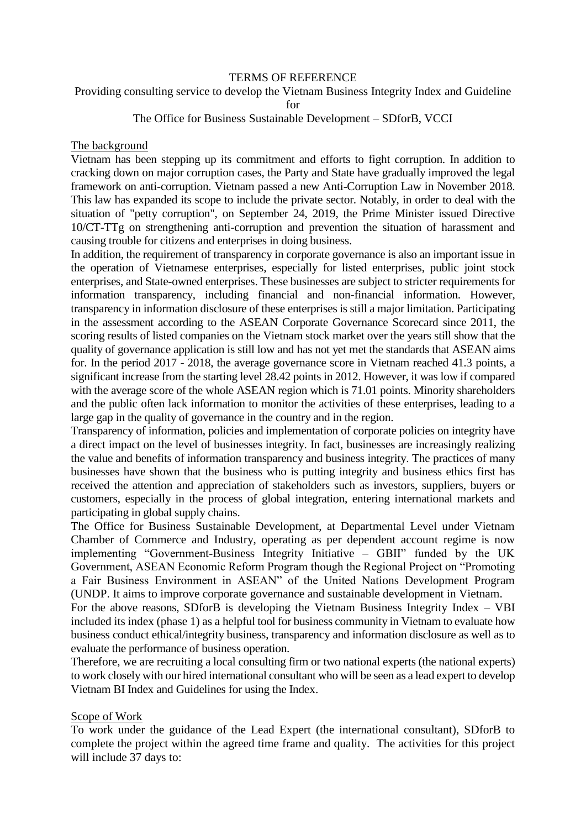#### TERMS OF REFERENCE

Providing consulting service to develop the Vietnam Business Integrity Index and Guideline

for

### The Office for Business Sustainable Development – SDforB, VCCI

#### The background

Vietnam has been stepping up its commitment and efforts to fight corruption. In addition to cracking down on major corruption cases, the Party and State have gradually improved the legal framework on anti-corruption. Vietnam passed a new Anti-Corruption Law in November 2018. This law has expanded its scope to include the private sector. Notably, in order to deal with the situation of "petty corruption", on September 24, 2019, the Prime Minister issued Directive 10/CT-TTg on strengthening anti-corruption and prevention the situation of harassment and causing trouble for citizens and enterprises in doing business.

In addition, the requirement of transparency in corporate governance is also an important issue in the operation of Vietnamese enterprises, especially for listed enterprises, public joint stock enterprises, and State-owned enterprises. These businesses are subject to stricter requirements for information transparency, including financial and non-financial information. However, transparency in information disclosure of these enterprises is still a major limitation. Participating in the assessment according to the ASEAN Corporate Governance Scorecard since 2011, the scoring results of listed companies on the Vietnam stock market over the years still show that the quality of governance application is still low and has not yet met the standards that ASEAN aims for. In the period 2017 - 2018, the average governance score in Vietnam reached 41.3 points, a significant increase from the starting level 28.42 points in 2012. However, it was low if compared with the average score of the whole ASEAN region which is 71.01 points. Minority shareholders and the public often lack information to monitor the activities of these enterprises, leading to a large gap in the quality of governance in the country and in the region.

Transparency of information, policies and implementation of corporate policies on integrity have a direct impact on the level of businesses integrity. In fact, businesses are increasingly realizing the value and benefits of information transparency and business integrity. The practices of many businesses have shown that the business who is putting integrity and business ethics first has received the attention and appreciation of stakeholders such as investors, suppliers, buyers or customers, especially in the process of global integration, entering international markets and participating in global supply chains.

The Office for Business Sustainable Development, at Departmental Level under Vietnam Chamber of Commerce and Industry, operating as per dependent account regime is now implementing "Government-Business Integrity Initiative – GBII" funded by the UK Government, ASEAN Economic Reform Program though the Regional Project on "Promoting a Fair Business Environment in ASEAN" of the United Nations Development Program (UNDP. It aims to improve corporate governance and sustainable development in Vietnam.

For the above reasons, SDforB is developing the Vietnam Business Integrity Index – VBI included its index (phase 1) as a helpful tool for business community in Vietnam to evaluate how business conduct ethical/integrity business, transparency and information disclosure as well as to evaluate the performance of business operation.

Therefore, we are recruiting a local consulting firm or two national experts (the national experts) to work closely with our hired international consultant who will be seen as a lead expert to develop Vietnam BI Index and Guidelines for using the Index.

### Scope of Work

To work under the guidance of the Lead Expert (the international consultant), SDforB to complete the project within the agreed time frame and quality. The activities for this project will include 37 days to: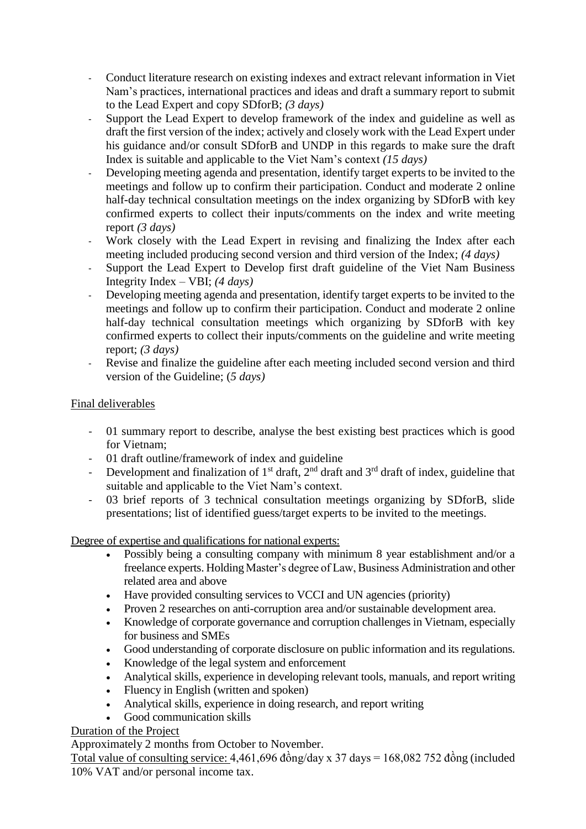- Conduct literature research on existing indexes and extract relevant information in Viet Nam's practices, international practices and ideas and draft a summary report to submit to the Lead Expert and copy SDforB; *(3 days)*
- Support the Lead Expert to develop framework of the index and guideline as well as draft the first version of the index; actively and closely work with the Lead Expert under his guidance and/or consult SDforB and UNDP in this regards to make sure the draft Index is suitable and applicable to the Viet Nam's context *(15 days)*
- Developing meeting agenda and presentation, identify target experts to be invited to the meetings and follow up to confirm their participation. Conduct and moderate 2 online half-day technical consultation meetings on the index organizing by SDforB with key confirmed experts to collect their inputs/comments on the index and write meeting report *(3 days)*
- Work closely with the Lead Expert in revising and finalizing the Index after each meeting included producing second version and third version of the Index; *(4 days)*
- Support the Lead Expert to Develop first draft guideline of the Viet Nam Business Integrity Index – VBI; *(4 days)*
- Developing meeting agenda and presentation, identify target experts to be invited to the meetings and follow up to confirm their participation. Conduct and moderate 2 online half-day technical consultation meetings which organizing by SDforB with key confirmed experts to collect their inputs/comments on the guideline and write meeting report; *(3 days)*
- Revise and finalize the guideline after each meeting included second version and third version of the Guideline; (*5 days)*

# Final deliverables

- 01 summary report to describe, analyse the best existing best practices which is good for Vietnam;
- 01 draft outline/framework of index and guideline
- Development and finalization of  $1<sup>st</sup>$  draft,  $2<sup>nd</sup>$  draft and  $3<sup>rd</sup>$  draft of index, guideline that suitable and applicable to the Viet Nam's context.
- 03 brief reports of 3 technical consultation meetings organizing by SDforB, slide presentations; list of identified guess/target experts to be invited to the meetings.

Degree of expertise and qualifications for national experts:

- Possibly being a consulting company with minimum 8 year establishment and/or a freelance experts. Holding Master's degree of Law, Business Administration and other related area and above
- Have provided consulting services to VCCI and UN agencies (priority)
- Proven 2 researches on anti-corruption area and/or sustainable development area.
- Knowledge of corporate governance and corruption challenges in Vietnam, especially for business and SMEs
- Good understanding of corporate disclosure on public information and its regulations.
- Knowledge of the legal system and enforcement
- Analytical skills, experience in developing relevant tools, manuals, and report writing
- Fluency in English (written and spoken)
- Analytical skills, experience in doing research, and report writing
- Good communication skills

## Duration of the Project

Approximately 2 months from October to November.

Total value of consulting service:  $4,461,696$  đồng/day x  $37$  days = 168,082 752 đồng (included 10% VAT and/or personal income tax.